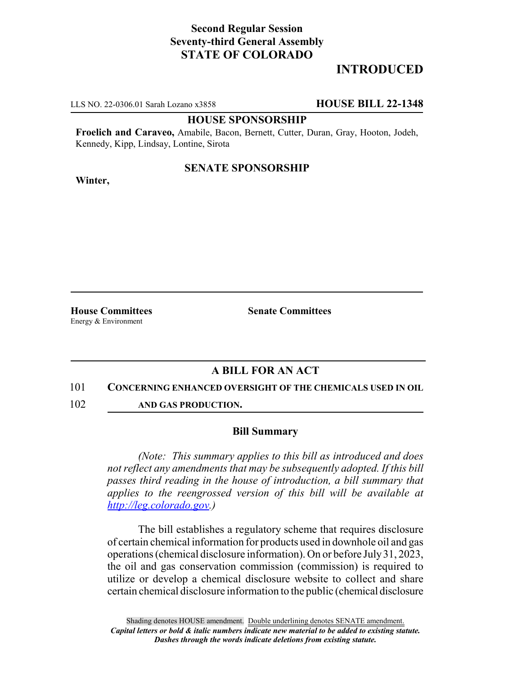# **Second Regular Session Seventy-third General Assembly STATE OF COLORADO**

# **INTRODUCED**

LLS NO. 22-0306.01 Sarah Lozano x3858 **HOUSE BILL 22-1348**

## **HOUSE SPONSORSHIP**

**Froelich and Caraveo,** Amabile, Bacon, Bernett, Cutter, Duran, Gray, Hooton, Jodeh, Kennedy, Kipp, Lindsay, Lontine, Sirota

## **SENATE SPONSORSHIP**

**Winter,**

**House Committees Senate Committees** Energy & Environment

# **A BILL FOR AN ACT**

### 101 **CONCERNING ENHANCED OVERSIGHT OF THE CHEMICALS USED IN OIL**

102 **AND GAS PRODUCTION.**

### **Bill Summary**

*(Note: This summary applies to this bill as introduced and does not reflect any amendments that may be subsequently adopted. If this bill passes third reading in the house of introduction, a bill summary that applies to the reengrossed version of this bill will be available at http://leg.colorado.gov.)*

The bill establishes a regulatory scheme that requires disclosure of certain chemical information for products used in downhole oil and gas operations (chemical disclosure information). On or before July 31, 2023, the oil and gas conservation commission (commission) is required to utilize or develop a chemical disclosure website to collect and share certain chemical disclosure information to the public (chemical disclosure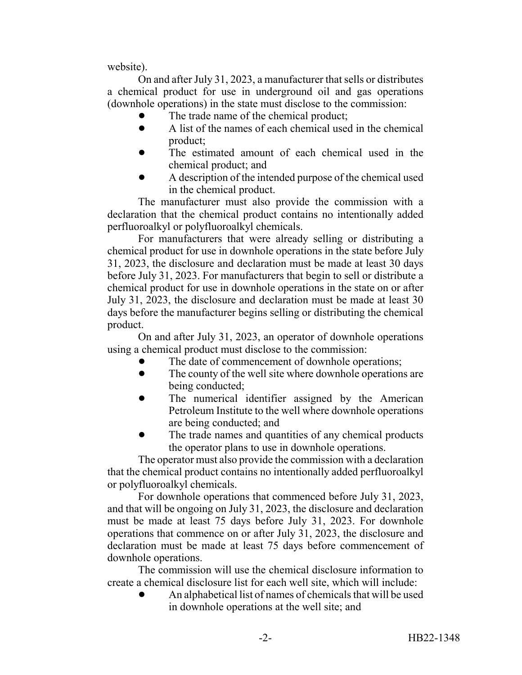website).

On and after July 31, 2023, a manufacturer that sells or distributes a chemical product for use in underground oil and gas operations (downhole operations) in the state must disclose to the commission:

- The trade name of the chemical product;
- ! A list of the names of each chemical used in the chemical product;
- The estimated amount of each chemical used in the chemical product; and
- ! A description of the intended purpose of the chemical used in the chemical product.

The manufacturer must also provide the commission with a declaration that the chemical product contains no intentionally added perfluoroalkyl or polyfluoroalkyl chemicals.

For manufacturers that were already selling or distributing a chemical product for use in downhole operations in the state before July 31, 2023, the disclosure and declaration must be made at least 30 days before July 31, 2023. For manufacturers that begin to sell or distribute a chemical product for use in downhole operations in the state on or after July 31, 2023, the disclosure and declaration must be made at least 30 days before the manufacturer begins selling or distributing the chemical product.

On and after July 31, 2023, an operator of downhole operations using a chemical product must disclose to the commission:

- The date of commencement of downhole operations;
- The county of the well site where downhole operations are being conducted;
- The numerical identifier assigned by the American Petroleum Institute to the well where downhole operations are being conducted; and
- The trade names and quantities of any chemical products the operator plans to use in downhole operations.

The operator must also provide the commission with a declaration that the chemical product contains no intentionally added perfluoroalkyl or polyfluoroalkyl chemicals.

For downhole operations that commenced before July 31, 2023, and that will be ongoing on July 31, 2023, the disclosure and declaration must be made at least 75 days before July 31, 2023. For downhole operations that commence on or after July 31, 2023, the disclosure and declaration must be made at least 75 days before commencement of downhole operations.

The commission will use the chemical disclosure information to create a chemical disclosure list for each well site, which will include:

! An alphabetical list of names of chemicals that will be used in downhole operations at the well site; and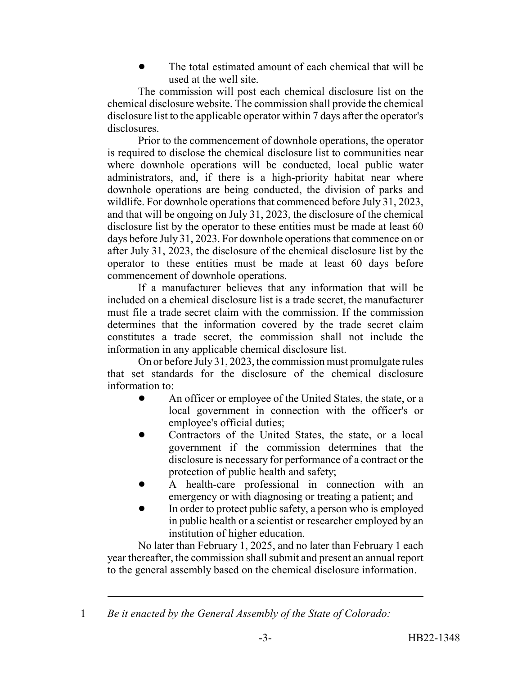The total estimated amount of each chemical that will be used at the well site.

The commission will post each chemical disclosure list on the chemical disclosure website. The commission shall provide the chemical disclosure list to the applicable operator within 7 days after the operator's disclosures.

Prior to the commencement of downhole operations, the operator is required to disclose the chemical disclosure list to communities near where downhole operations will be conducted, local public water administrators, and, if there is a high-priority habitat near where downhole operations are being conducted, the division of parks and wildlife. For downhole operations that commenced before July 31, 2023, and that will be ongoing on July 31, 2023, the disclosure of the chemical disclosure list by the operator to these entities must be made at least 60 days before July 31, 2023. For downhole operations that commence on or after July 31, 2023, the disclosure of the chemical disclosure list by the operator to these entities must be made at least 60 days before commencement of downhole operations.

If a manufacturer believes that any information that will be included on a chemical disclosure list is a trade secret, the manufacturer must file a trade secret claim with the commission. If the commission determines that the information covered by the trade secret claim constitutes a trade secret, the commission shall not include the information in any applicable chemical disclosure list.

On or before July 31, 2023, the commission must promulgate rules that set standards for the disclosure of the chemical disclosure information to:

- An officer or employee of the United States, the state, or a local government in connection with the officer's or employee's official duties;
- ! Contractors of the United States, the state, or a local government if the commission determines that the disclosure is necessary for performance of a contract or the protection of public health and safety;
- A health-care professional in connection with an emergency or with diagnosing or treating a patient; and
- In order to protect public safety, a person who is employed in public health or a scientist or researcher employed by an institution of higher education.

No later than February 1, 2025, and no later than February 1 each year thereafter, the commission shall submit and present an annual report to the general assembly based on the chemical disclosure information.

<sup>1</sup> *Be it enacted by the General Assembly of the State of Colorado:*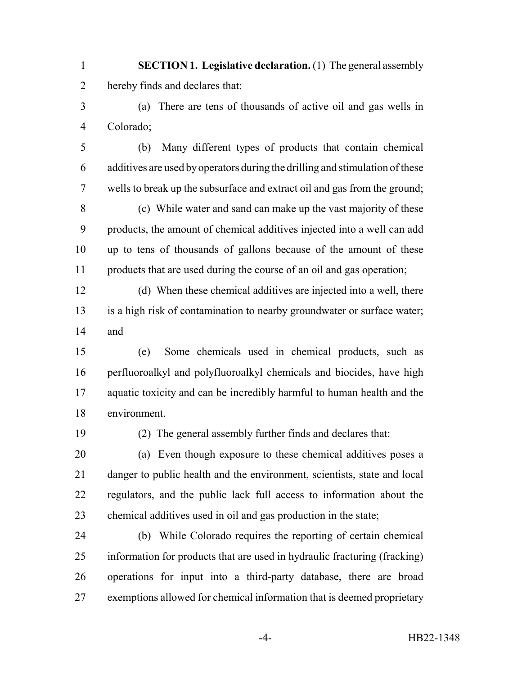- **SECTION 1. Legislative declaration.** (1) The general assembly hereby finds and declares that:
- (a) There are tens of thousands of active oil and gas wells in Colorado;
- (b) Many different types of products that contain chemical additives are used by operators during the drilling and stimulation of these wells to break up the subsurface and extract oil and gas from the ground;
- (c) While water and sand can make up the vast majority of these products, the amount of chemical additives injected into a well can add up to tens of thousands of gallons because of the amount of these products that are used during the course of an oil and gas operation;
- (d) When these chemical additives are injected into a well, there is a high risk of contamination to nearby groundwater or surface water; and
- (e) Some chemicals used in chemical products, such as perfluoroalkyl and polyfluoroalkyl chemicals and biocides, have high aquatic toxicity and can be incredibly harmful to human health and the environment.
- 

(2) The general assembly further finds and declares that:

- (a) Even though exposure to these chemical additives poses a danger to public health and the environment, scientists, state and local regulators, and the public lack full access to information about the chemical additives used in oil and gas production in the state;
- (b) While Colorado requires the reporting of certain chemical information for products that are used in hydraulic fracturing (fracking) operations for input into a third-party database, there are broad exemptions allowed for chemical information that is deemed proprietary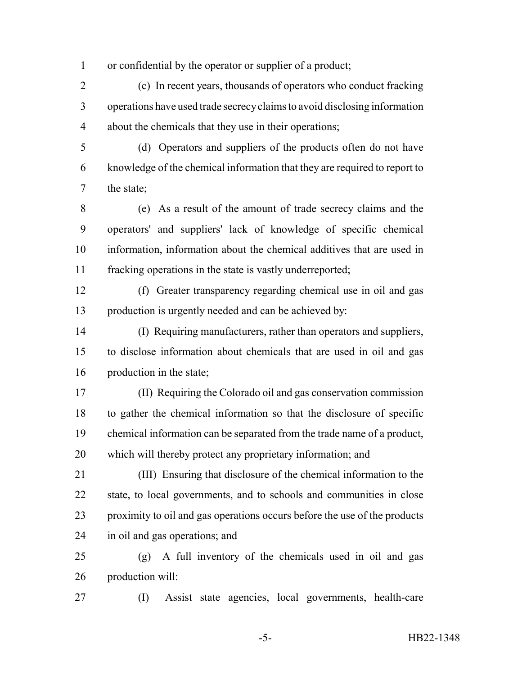or confidential by the operator or supplier of a product;

 (c) In recent years, thousands of operators who conduct fracking operations have used trade secrecy claims to avoid disclosing information about the chemicals that they use in their operations;

 (d) Operators and suppliers of the products often do not have knowledge of the chemical information that they are required to report to the state;

 (e) As a result of the amount of trade secrecy claims and the operators' and suppliers' lack of knowledge of specific chemical information, information about the chemical additives that are used in fracking operations in the state is vastly underreported;

 (f) Greater transparency regarding chemical use in oil and gas production is urgently needed and can be achieved by:

 (I) Requiring manufacturers, rather than operators and suppliers, to disclose information about chemicals that are used in oil and gas production in the state;

 (II) Requiring the Colorado oil and gas conservation commission to gather the chemical information so that the disclosure of specific chemical information can be separated from the trade name of a product, which will thereby protect any proprietary information; and

 (III) Ensuring that disclosure of the chemical information to the state, to local governments, and to schools and communities in close proximity to oil and gas operations occurs before the use of the products in oil and gas operations; and

 (g) A full inventory of the chemicals used in oil and gas production will:

(I) Assist state agencies, local governments, health-care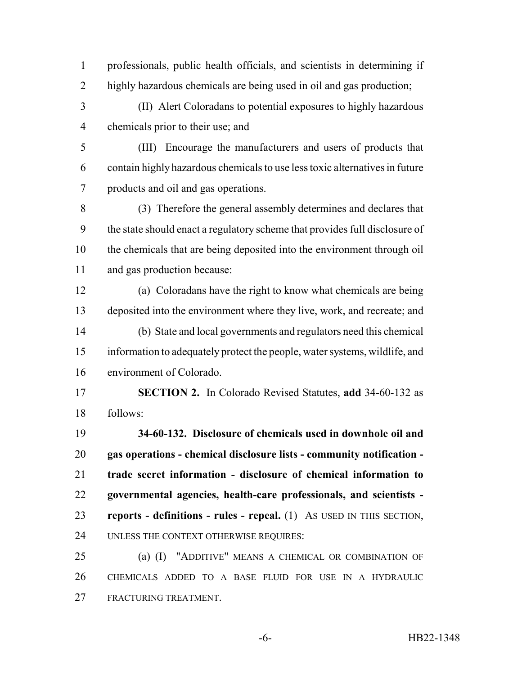professionals, public health officials, and scientists in determining if highly hazardous chemicals are being used in oil and gas production;

 (II) Alert Coloradans to potential exposures to highly hazardous chemicals prior to their use; and

 (III) Encourage the manufacturers and users of products that contain highly hazardous chemicals to use less toxic alternatives in future products and oil and gas operations.

 (3) Therefore the general assembly determines and declares that the state should enact a regulatory scheme that provides full disclosure of the chemicals that are being deposited into the environment through oil and gas production because:

 (a) Coloradans have the right to know what chemicals are being deposited into the environment where they live, work, and recreate; and (b) State and local governments and regulators need this chemical information to adequately protect the people, water systems, wildlife, and environment of Colorado.

 **SECTION 2.** In Colorado Revised Statutes, **add** 34-60-132 as follows:

 **34-60-132. Disclosure of chemicals used in downhole oil and gas operations - chemical disclosure lists - community notification - trade secret information - disclosure of chemical information to governmental agencies, health-care professionals, and scientists - reports - definitions - rules - repeal.** (1) AS USED IN THIS SECTION, UNLESS THE CONTEXT OTHERWISE REQUIRES:

 (a) (I) "ADDITIVE" MEANS A CHEMICAL OR COMBINATION OF CHEMICALS ADDED TO A BASE FLUID FOR USE IN A HYDRAULIC FRACTURING TREATMENT.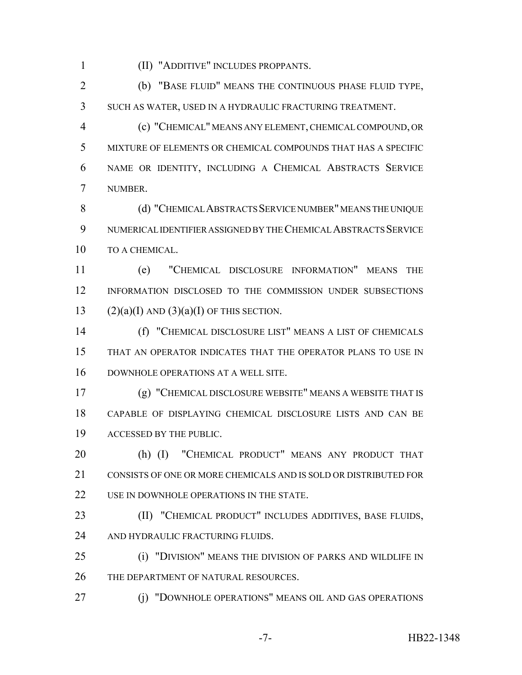(II) "ADDITIVE" INCLUDES PROPPANTS.

 (b) "BASE FLUID" MEANS THE CONTINUOUS PHASE FLUID TYPE, SUCH AS WATER, USED IN A HYDRAULIC FRACTURING TREATMENT.

 (c) "CHEMICAL" MEANS ANY ELEMENT, CHEMICAL COMPOUND, OR MIXTURE OF ELEMENTS OR CHEMICAL COMPOUNDS THAT HAS A SPECIFIC NAME OR IDENTITY, INCLUDING A CHEMICAL ABSTRACTS SERVICE NUMBER.

 (d) "CHEMICAL ABSTRACTS SERVICE NUMBER" MEANS THE UNIQUE NUMERICAL IDENTIFIER ASSIGNED BY THE CHEMICAL ABSTRACTS SERVICE TO A CHEMICAL.

 (e) "CHEMICAL DISCLOSURE INFORMATION" MEANS THE INFORMATION DISCLOSED TO THE COMMISSION UNDER SUBSECTIONS 13 (2)(a)(I) AND (3)(a)(I) OF THIS SECTION.

 (f) "CHEMICAL DISCLOSURE LIST" MEANS A LIST OF CHEMICALS THAT AN OPERATOR INDICATES THAT THE OPERATOR PLANS TO USE IN DOWNHOLE OPERATIONS AT A WELL SITE.

 (g) "CHEMICAL DISCLOSURE WEBSITE" MEANS A WEBSITE THAT IS CAPABLE OF DISPLAYING CHEMICAL DISCLOSURE LISTS AND CAN BE ACCESSED BY THE PUBLIC.

 (h) (I) "CHEMICAL PRODUCT" MEANS ANY PRODUCT THAT 21 CONSISTS OF ONE OR MORE CHEMICALS AND IS SOLD OR DISTRIBUTED FOR 22 USE IN DOWNHOLE OPERATIONS IN THE STATE.

 (II) "CHEMICAL PRODUCT" INCLUDES ADDITIVES, BASE FLUIDS, 24 AND HYDRAULIC FRACTURING FLUIDS.

 (i) "DIVISION" MEANS THE DIVISION OF PARKS AND WILDLIFE IN 26 THE DEPARTMENT OF NATURAL RESOURCES.

(j) "DOWNHOLE OPERATIONS" MEANS OIL AND GAS OPERATIONS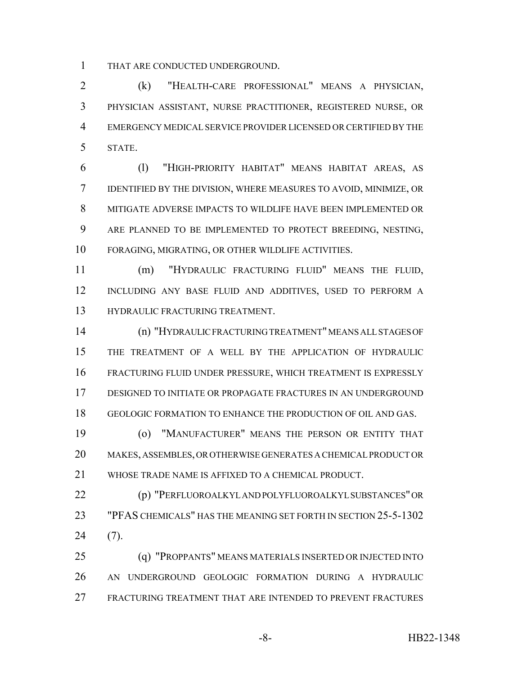THAT ARE CONDUCTED UNDERGROUND.

 (k) "HEALTH-CARE PROFESSIONAL" MEANS A PHYSICIAN, PHYSICIAN ASSISTANT, NURSE PRACTITIONER, REGISTERED NURSE, OR EMERGENCY MEDICAL SERVICE PROVIDER LICENSED OR CERTIFIED BY THE STATE.

 (l) "HIGH-PRIORITY HABITAT" MEANS HABITAT AREAS, AS IDENTIFIED BY THE DIVISION, WHERE MEASURES TO AVOID, MINIMIZE, OR MITIGATE ADVERSE IMPACTS TO WILDLIFE HAVE BEEN IMPLEMENTED OR ARE PLANNED TO BE IMPLEMENTED TO PROTECT BREEDING, NESTING, FORAGING, MIGRATING, OR OTHER WILDLIFE ACTIVITIES.

 (m) "HYDRAULIC FRACTURING FLUID" MEANS THE FLUID, INCLUDING ANY BASE FLUID AND ADDITIVES, USED TO PERFORM A HYDRAULIC FRACTURING TREATMENT.

 (n) "HYDRAULIC FRACTURING TREATMENT" MEANS ALL STAGES OF THE TREATMENT OF A WELL BY THE APPLICATION OF HYDRAULIC FRACTURING FLUID UNDER PRESSURE, WHICH TREATMENT IS EXPRESSLY DESIGNED TO INITIATE OR PROPAGATE FRACTURES IN AN UNDERGROUND GEOLOGIC FORMATION TO ENHANCE THE PRODUCTION OF OIL AND GAS.

 (o) "MANUFACTURER" MEANS THE PERSON OR ENTITY THAT MAKES, ASSEMBLES, OR OTHERWISE GENERATES A CHEMICAL PRODUCT OR WHOSE TRADE NAME IS AFFIXED TO A CHEMICAL PRODUCT.

 (p) "PERFLUOROALKYL AND POLYFLUOROALKYL SUBSTANCES" OR "PFAS CHEMICALS" HAS THE MEANING SET FORTH IN SECTION 25-5-1302 (7).

 (q) "PROPPANTS" MEANS MATERIALS INSERTED OR INJECTED INTO AN UNDERGROUND GEOLOGIC FORMATION DURING A HYDRAULIC FRACTURING TREATMENT THAT ARE INTENDED TO PREVENT FRACTURES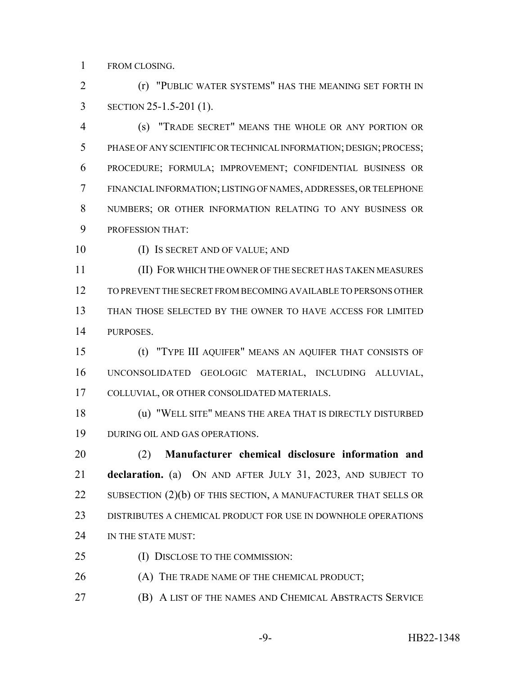FROM CLOSING.

 (r) "PUBLIC WATER SYSTEMS" HAS THE MEANING SET FORTH IN SECTION 25-1.5-201 (1).

 (s) "TRADE SECRET" MEANS THE WHOLE OR ANY PORTION OR PHASE OF ANY SCIENTIFIC OR TECHNICAL INFORMATION; DESIGN; PROCESS; PROCEDURE; FORMULA; IMPROVEMENT; CONFIDENTIAL BUSINESS OR FINANCIAL INFORMATION; LISTING OF NAMES, ADDRESSES, OR TELEPHONE NUMBERS; OR OTHER INFORMATION RELATING TO ANY BUSINESS OR PROFESSION THAT:

(I) IS SECRET AND OF VALUE; AND

 (II) FOR WHICH THE OWNER OF THE SECRET HAS TAKEN MEASURES TO PREVENT THE SECRET FROM BECOMING AVAILABLE TO PERSONS OTHER THAN THOSE SELECTED BY THE OWNER TO HAVE ACCESS FOR LIMITED PURPOSES.

 (t) "TYPE III AQUIFER" MEANS AN AQUIFER THAT CONSISTS OF UNCONSOLIDATED GEOLOGIC MATERIAL, INCLUDING ALLUVIAL, COLLUVIAL, OR OTHER CONSOLIDATED MATERIALS.

 (u) "WELL SITE" MEANS THE AREA THAT IS DIRECTLY DISTURBED DURING OIL AND GAS OPERATIONS.

 (2) **Manufacturer chemical disclosure information and declaration.** (a) ON AND AFTER JULY 31, 2023, AND SUBJECT TO 22 SUBSECTION (2)(b) OF THIS SECTION, A MANUFACTURER THAT SELLS OR DISTRIBUTES A CHEMICAL PRODUCT FOR USE IN DOWNHOLE OPERATIONS 24 IN THE STATE MUST:

- 25 (I) DISCLOSE TO THE COMMISSION:
- (A) THE TRADE NAME OF THE CHEMICAL PRODUCT;
- (B) A LIST OF THE NAMES AND CHEMICAL ABSTRACTS SERVICE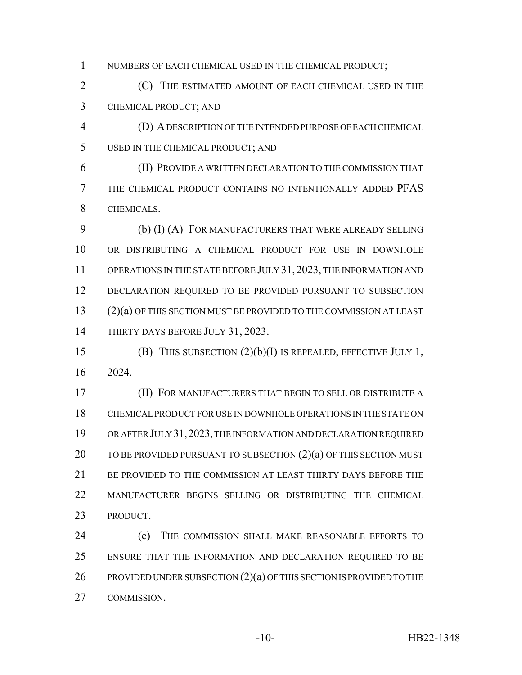1 NUMBERS OF EACH CHEMICAL USED IN THE CHEMICAL PRODUCT;

 (C) THE ESTIMATED AMOUNT OF EACH CHEMICAL USED IN THE CHEMICAL PRODUCT; AND

 (D) A DESCRIPTION OF THE INTENDED PURPOSE OF EACH CHEMICAL USED IN THE CHEMICAL PRODUCT; AND

 (II) PROVIDE A WRITTEN DECLARATION TO THE COMMISSION THAT THE CHEMICAL PRODUCT CONTAINS NO INTENTIONALLY ADDED PFAS CHEMICALS.

 (b) (I) (A) FOR MANUFACTURERS THAT WERE ALREADY SELLING OR DISTRIBUTING A CHEMICAL PRODUCT FOR USE IN DOWNHOLE 11 OPERATIONS IN THE STATE BEFORE JULY 31, 2023, THE INFORMATION AND 12 DECLARATION REQUIRED TO BE PROVIDED PURSUANT TO SUBSECTION (2)(a) OF THIS SECTION MUST BE PROVIDED TO THE COMMISSION AT LEAST 14 THIRTY DAYS BEFORE JULY 31, 2023.

 (B) THIS SUBSECTION (2)(b)(I) IS REPEALED, EFFECTIVE JULY 1, 2024.

 (II) FOR MANUFACTURERS THAT BEGIN TO SELL OR DISTRIBUTE A CHEMICAL PRODUCT FOR USE IN DOWNHOLE OPERATIONS IN THE STATE ON OR AFTER JULY 31,2023, THE INFORMATION AND DECLARATION REQUIRED 20 TO BE PROVIDED PURSUANT TO SUBSECTION (2)(a) OF THIS SECTION MUST BE PROVIDED TO THE COMMISSION AT LEAST THIRTY DAYS BEFORE THE MANUFACTURER BEGINS SELLING OR DISTRIBUTING THE CHEMICAL PRODUCT.

 (c) THE COMMISSION SHALL MAKE REASONABLE EFFORTS TO 25 ENSURE THAT THE INFORMATION AND DECLARATION REQUIRED TO BE 26 PROVIDED UNDER SUBSECTION (2)(a) OF THIS SECTION IS PROVIDED TO THE COMMISSION.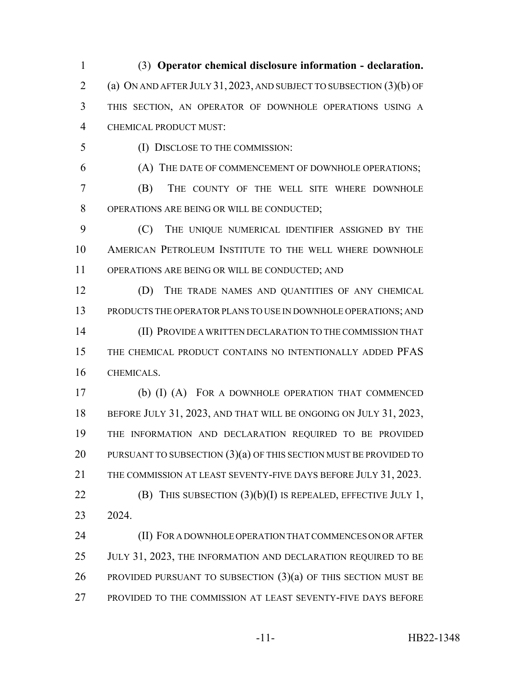(3) **Operator chemical disclosure information - declaration.** (a) ON AND AFTER JULY 31, 2023, AND SUBJECT TO SUBSECTION (3)(b) OF THIS SECTION, AN OPERATOR OF DOWNHOLE OPERATIONS USING A CHEMICAL PRODUCT MUST:

(I) DISCLOSE TO THE COMMISSION:

(A) THE DATE OF COMMENCEMENT OF DOWNHOLE OPERATIONS;

 (B) THE COUNTY OF THE WELL SITE WHERE DOWNHOLE OPERATIONS ARE BEING OR WILL BE CONDUCTED;

 (C) THE UNIQUE NUMERICAL IDENTIFIER ASSIGNED BY THE AMERICAN PETROLEUM INSTITUTE TO THE WELL WHERE DOWNHOLE OPERATIONS ARE BEING OR WILL BE CONDUCTED; AND

 (D) THE TRADE NAMES AND QUANTITIES OF ANY CHEMICAL PRODUCTS THE OPERATOR PLANS TO USE IN DOWNHOLE OPERATIONS; AND (II) PROVIDE A WRITTEN DECLARATION TO THE COMMISSION THAT 15 THE CHEMICAL PRODUCT CONTAINS NO INTENTIONALLY ADDED PFAS CHEMICALS.

 (b) (I) (A) FOR A DOWNHOLE OPERATION THAT COMMENCED 18 BEFORE JULY 31, 2023, AND THAT WILL BE ONGOING ON JULY 31, 2023, THE INFORMATION AND DECLARATION REQUIRED TO BE PROVIDED 20 PURSUANT TO SUBSECTION (3)(a) OF THIS SECTION MUST BE PROVIDED TO THE COMMISSION AT LEAST SEVENTY-FIVE DAYS BEFORE JULY 31, 2023. **(B)** THIS SUBSECTION  $(3)(b)(I)$  IS REPEALED, EFFECTIVE JULY 1,

2024.

 (II) FOR A DOWNHOLE OPERATION THAT COMMENCES ON OR AFTER 25 JULY 31, 2023, THE INFORMATION AND DECLARATION REQUIRED TO BE 26 PROVIDED PURSUANT TO SUBSECTION  $(3)(a)$  OF THIS SECTION MUST BE PROVIDED TO THE COMMISSION AT LEAST SEVENTY-FIVE DAYS BEFORE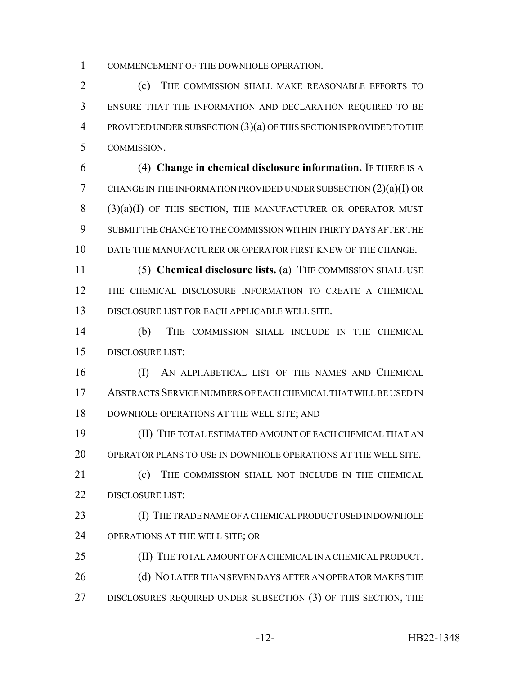COMMENCEMENT OF THE DOWNHOLE OPERATION.

 (c) THE COMMISSION SHALL MAKE REASONABLE EFFORTS TO ENSURE THAT THE INFORMATION AND DECLARATION REQUIRED TO BE PROVIDED UNDER SUBSECTION (3)(a) OF THIS SECTION IS PROVIDED TO THE COMMISSION.

 (4) **Change in chemical disclosure information.** IF THERE IS A CHANGE IN THE INFORMATION PROVIDED UNDER SUBSECTION (2)(a)(I) OR (3)(a)(I) OF THIS SECTION, THE MANUFACTURER OR OPERATOR MUST SUBMIT THE CHANGE TO THE COMMISSION WITHIN THIRTY DAYS AFTER THE DATE THE MANUFACTURER OR OPERATOR FIRST KNEW OF THE CHANGE.

 (5) **Chemical disclosure lists.** (a) THE COMMISSION SHALL USE THE CHEMICAL DISCLOSURE INFORMATION TO CREATE A CHEMICAL DISCLOSURE LIST FOR EACH APPLICABLE WELL SITE.

 (b) THE COMMISSION SHALL INCLUDE IN THE CHEMICAL DISCLOSURE LIST:

 (I) AN ALPHABETICAL LIST OF THE NAMES AND CHEMICAL ABSTRACTS SERVICE NUMBERS OF EACH CHEMICAL THAT WILL BE USED IN DOWNHOLE OPERATIONS AT THE WELL SITE; AND

 (II) THE TOTAL ESTIMATED AMOUNT OF EACH CHEMICAL THAT AN OPERATOR PLANS TO USE IN DOWNHOLE OPERATIONS AT THE WELL SITE.

 (c) THE COMMISSION SHALL NOT INCLUDE IN THE CHEMICAL 22 DISCLOSURE LIST:

 (I) THE TRADE NAME OF A CHEMICAL PRODUCT USED IN DOWNHOLE OPERATIONS AT THE WELL SITE; OR

 (II) THE TOTAL AMOUNT OF A CHEMICAL IN A CHEMICAL PRODUCT. 26 (d) NO LATER THAN SEVEN DAYS AFTER AN OPERATOR MAKES THE 27 DISCLOSURES REQUIRED UNDER SUBSECTION (3) OF THIS SECTION, THE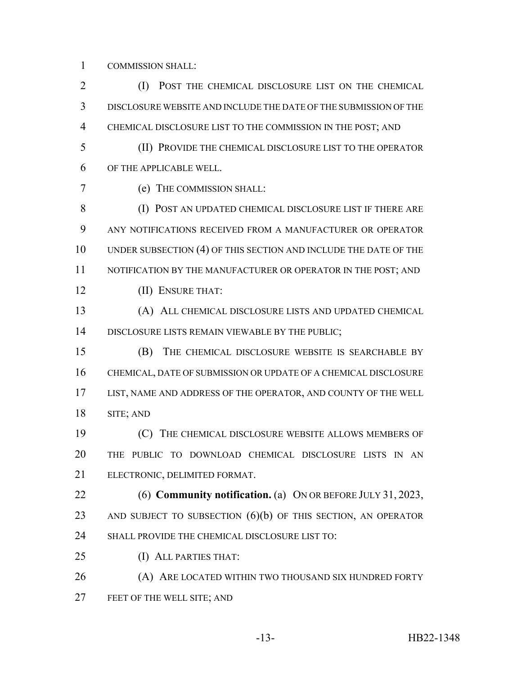COMMISSION SHALL:

 (I) POST THE CHEMICAL DISCLOSURE LIST ON THE CHEMICAL DISCLOSURE WEBSITE AND INCLUDE THE DATE OF THE SUBMISSION OF THE CHEMICAL DISCLOSURE LIST TO THE COMMISSION IN THE POST; AND (II) PROVIDE THE CHEMICAL DISCLOSURE LIST TO THE OPERATOR OF THE APPLICABLE WELL. (e) THE COMMISSION SHALL: (I) POST AN UPDATED CHEMICAL DISCLOSURE LIST IF THERE ARE ANY NOTIFICATIONS RECEIVED FROM A MANUFACTURER OR OPERATOR UNDER SUBSECTION (4) OF THIS SECTION AND INCLUDE THE DATE OF THE 11 NOTIFICATION BY THE MANUFACTURER OR OPERATOR IN THE POST; AND (II) ENSURE THAT: (A) ALL CHEMICAL DISCLOSURE LISTS AND UPDATED CHEMICAL DISCLOSURE LISTS REMAIN VIEWABLE BY THE PUBLIC; (B) THE CHEMICAL DISCLOSURE WEBSITE IS SEARCHABLE BY CHEMICAL, DATE OF SUBMISSION OR UPDATE OF A CHEMICAL DISCLOSURE LIST, NAME AND ADDRESS OF THE OPERATOR, AND COUNTY OF THE WELL SITE; AND (C) THE CHEMICAL DISCLOSURE WEBSITE ALLOWS MEMBERS OF THE PUBLIC TO DOWNLOAD CHEMICAL DISCLOSURE LISTS IN AN ELECTRONIC, DELIMITED FORMAT. (6) **Community notification.** (a) ON OR BEFORE JULY 31, 2023, 23 AND SUBJECT TO SUBSECTION (6)(b) OF THIS SECTION, AN OPERATOR 24 SHALL PROVIDE THE CHEMICAL DISCLOSURE LIST TO: (I) ALL PARTIES THAT: **(A) ARE LOCATED WITHIN TWO THOUSAND SIX HUNDRED FORTY** FEET OF THE WELL SITE; AND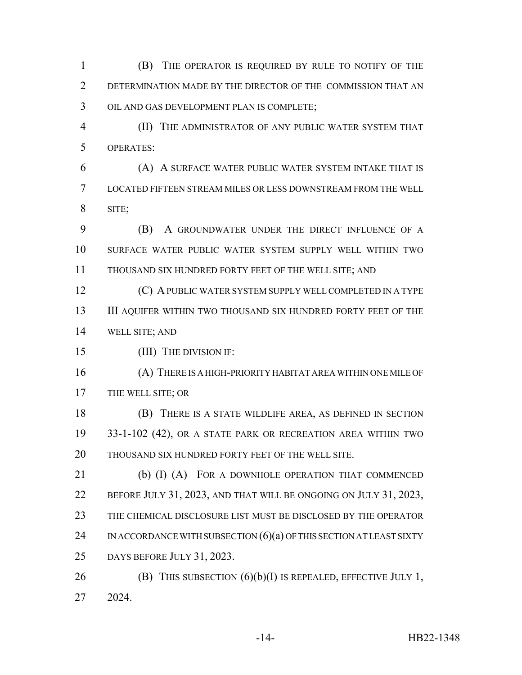(B) THE OPERATOR IS REQUIRED BY RULE TO NOTIFY OF THE DETERMINATION MADE BY THE DIRECTOR OF THE COMMISSION THAT AN OIL AND GAS DEVELOPMENT PLAN IS COMPLETE;

 (II) THE ADMINISTRATOR OF ANY PUBLIC WATER SYSTEM THAT OPERATES:

 (A) A SURFACE WATER PUBLIC WATER SYSTEM INTAKE THAT IS LOCATED FIFTEEN STREAM MILES OR LESS DOWNSTREAM FROM THE WELL SITE;

 (B) A GROUNDWATER UNDER THE DIRECT INFLUENCE OF A SURFACE WATER PUBLIC WATER SYSTEM SUPPLY WELL WITHIN TWO THOUSAND SIX HUNDRED FORTY FEET OF THE WELL SITE; AND

 (C) A PUBLIC WATER SYSTEM SUPPLY WELL COMPLETED IN A TYPE 13 III AQUIFER WITHIN TWO THOUSAND SIX HUNDRED FORTY FEET OF THE WELL SITE; AND

(III) THE DIVISION IF:

 (A) THERE IS A HIGH-PRIORITY HABITAT AREA WITHIN ONE MILE OF THE WELL SITE; OR

 (B) THERE IS A STATE WILDLIFE AREA, AS DEFINED IN SECTION 33-1-102 (42), OR A STATE PARK OR RECREATION AREA WITHIN TWO THOUSAND SIX HUNDRED FORTY FEET OF THE WELL SITE.

 (b) (I) (A) FOR A DOWNHOLE OPERATION THAT COMMENCED BEFORE JULY 31, 2023, AND THAT WILL BE ONGOING ON JULY 31, 2023, THE CHEMICAL DISCLOSURE LIST MUST BE DISCLOSED BY THE OPERATOR 24 IN ACCORDANCE WITH SUBSECTION  $(6)(a)$  of this section at LEAST SIXTY DAYS BEFORE JULY 31, 2023.

26 (B) THIS SUBSECTION  $(6)(b)(I)$  IS REPEALED, EFFECTIVE JULY 1, 2024.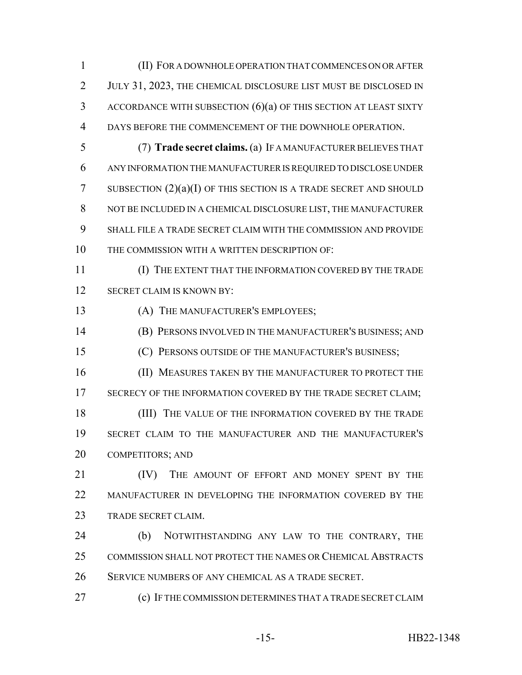(II) FOR A DOWNHOLE OPERATION THAT COMMENCES ON OR AFTER JULY 31, 2023, THE CHEMICAL DISCLOSURE LIST MUST BE DISCLOSED IN ACCORDANCE WITH SUBSECTION (6)(a) OF THIS SECTION AT LEAST SIXTY DAYS BEFORE THE COMMENCEMENT OF THE DOWNHOLE OPERATION.

- (7) **Trade secret claims.** (a) IF A MANUFACTURER BELIEVES THAT ANY INFORMATION THE MANUFACTURER IS REQUIRED TO DISCLOSE UNDER 7 SUBSECTION  $(2)(a)(I)$  OF THIS SECTION IS A TRADE SECRET AND SHOULD NOT BE INCLUDED IN A CHEMICAL DISCLOSURE LIST, THE MANUFACTURER SHALL FILE A TRADE SECRET CLAIM WITH THE COMMISSION AND PROVIDE THE COMMISSION WITH A WRITTEN DESCRIPTION OF:
- (I) THE EXTENT THAT THE INFORMATION COVERED BY THE TRADE SECRET CLAIM IS KNOWN BY:
- (A) THE MANUFACTURER'S EMPLOYEES;
- (B) PERSONS INVOLVED IN THE MANUFACTURER'S BUSINESS; AND
- (C) PERSONS OUTSIDE OF THE MANUFACTURER'S BUSINESS;
- 16 (II) MEASURES TAKEN BY THE MANUFACTURER TO PROTECT THE 17 SECRECY OF THE INFORMATION COVERED BY THE TRADE SECRET CLAIM; 18 (III) THE VALUE OF THE INFORMATION COVERED BY THE TRADE SECRET CLAIM TO THE MANUFACTURER AND THE MANUFACTURER'S
- COMPETITORS; AND
- **IV)** THE AMOUNT OF EFFORT AND MONEY SPENT BY THE MANUFACTURER IN DEVELOPING THE INFORMATION COVERED BY THE 23 TRADE SECRET CLAIM.
- (b) NOTWITHSTANDING ANY LAW TO THE CONTRARY, THE COMMISSION SHALL NOT PROTECT THE NAMES OR CHEMICAL ABSTRACTS SERVICE NUMBERS OF ANY CHEMICAL AS A TRADE SECRET.
- (c) IF THE COMMISSION DETERMINES THAT A TRADE SECRET CLAIM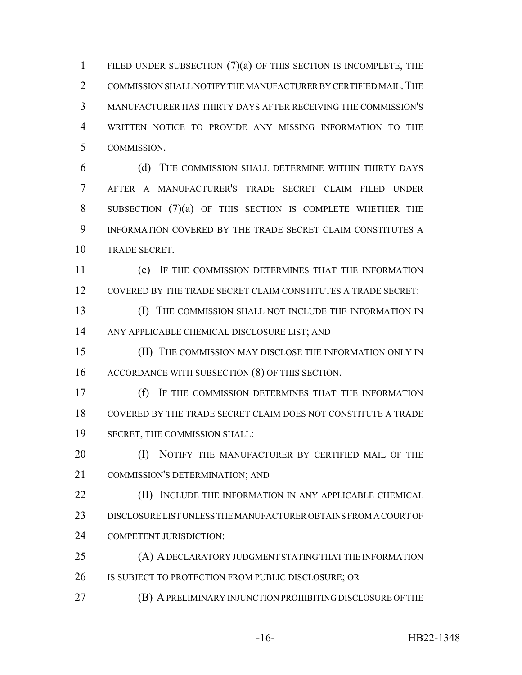1 FILED UNDER SUBSECTION  $(7)(a)$  of this section is incomplete, the 2 COMMISSION SHALL NOTIFY THE MANUFACTURER BY CERTIFIED MAIL. THE MANUFACTURER HAS THIRTY DAYS AFTER RECEIVING THE COMMISSION'S WRITTEN NOTICE TO PROVIDE ANY MISSING INFORMATION TO THE COMMISSION.

 (d) THE COMMISSION SHALL DETERMINE WITHIN THIRTY DAYS AFTER A MANUFACTURER'S TRADE SECRET CLAIM FILED UNDER SUBSECTION (7)(a) OF THIS SECTION IS COMPLETE WHETHER THE INFORMATION COVERED BY THE TRADE SECRET CLAIM CONSTITUTES A TRADE SECRET.

 (e) IF THE COMMISSION DETERMINES THAT THE INFORMATION COVERED BY THE TRADE SECRET CLAIM CONSTITUTES A TRADE SECRET:

**(I)** THE COMMISSION SHALL NOT INCLUDE THE INFORMATION IN ANY APPLICABLE CHEMICAL DISCLOSURE LIST; AND

 (II) THE COMMISSION MAY DISCLOSE THE INFORMATION ONLY IN 16 ACCORDANCE WITH SUBSECTION (8) OF THIS SECTION.

 (f) IF THE COMMISSION DETERMINES THAT THE INFORMATION COVERED BY THE TRADE SECRET CLAIM DOES NOT CONSTITUTE A TRADE SECRET, THE COMMISSION SHALL:

**(I) NOTIFY THE MANUFACTURER BY CERTIFIED MAIL OF THE** COMMISSION'S DETERMINATION; AND

**(II)** INCLUDE THE INFORMATION IN ANY APPLICABLE CHEMICAL DISCLOSURE LIST UNLESS THE MANUFACTURER OBTAINS FROM A COURT OF 24 COMPETENT JURISDICTION:

 (A) A DECLARATORY JUDGMENT STATING THAT THE INFORMATION 26 IS SUBJECT TO PROTECTION FROM PUBLIC DISCLOSURE; OR

(B) A PRELIMINARY INJUNCTION PROHIBITING DISCLOSURE OF THE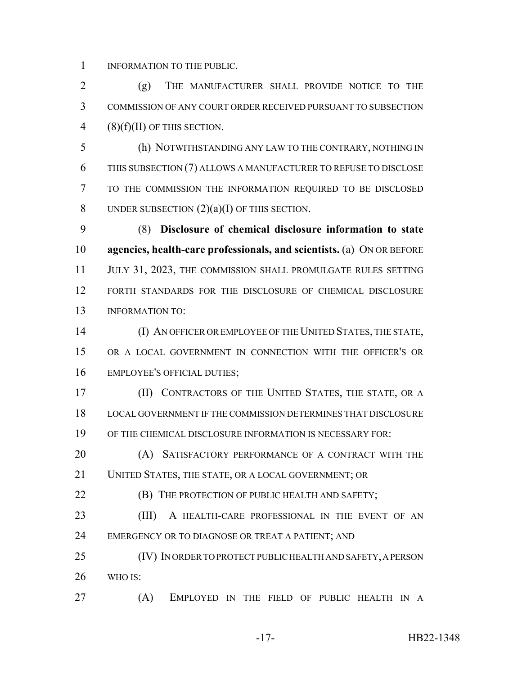1 INFORMATION TO THE PUBLIC.

 (g) THE MANUFACTURER SHALL PROVIDE NOTICE TO THE COMMISSION OF ANY COURT ORDER RECEIVED PURSUANT TO SUBSECTION 4 (8)( $f$ )(II) OF THIS SECTION.

 (h) NOTWITHSTANDING ANY LAW TO THE CONTRARY, NOTHING IN THIS SUBSECTION (7) ALLOWS A MANUFACTURER TO REFUSE TO DISCLOSE TO THE COMMISSION THE INFORMATION REQUIRED TO BE DISCLOSED 8 UNDER SUBSECTION  $(2)(a)(I)$  OF THIS SECTION.

 (8) **Disclosure of chemical disclosure information to state agencies, health-care professionals, and scientists.** (a) ON OR BEFORE 11 JULY 31, 2023, THE COMMISSION SHALL PROMULGATE RULES SETTING FORTH STANDARDS FOR THE DISCLOSURE OF CHEMICAL DISCLOSURE INFORMATION TO:

 (I) AN OFFICER OR EMPLOYEE OF THE UNITED STATES, THE STATE, OR A LOCAL GOVERNMENT IN CONNECTION WITH THE OFFICER'S OR EMPLOYEE'S OFFICIAL DUTIES;

 (II) CONTRACTORS OF THE UNITED STATES, THE STATE, OR A LOCAL GOVERNMENT IF THE COMMISSION DETERMINES THAT DISCLOSURE OF THE CHEMICAL DISCLOSURE INFORMATION IS NECESSARY FOR:

20 (A) SATISFACTORY PERFORMANCE OF A CONTRACT WITH THE UNITED STATES, THE STATE, OR A LOCAL GOVERNMENT; OR

**(B)** THE PROTECTION OF PUBLIC HEALTH AND SAFETY;

23 (III) A HEALTH-CARE PROFESSIONAL IN THE EVENT OF AN 24 EMERGENCY OR TO DIAGNOSE OR TREAT A PATIENT; AND

 (IV) IN ORDER TO PROTECT PUBLIC HEALTH AND SAFETY, A PERSON WHO IS:

(A) EMPLOYED IN THE FIELD OF PUBLIC HEALTH IN A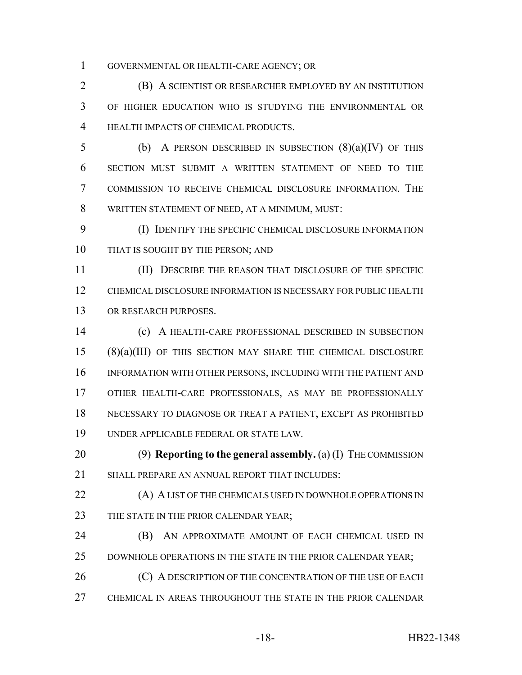GOVERNMENTAL OR HEALTH-CARE AGENCY; OR

 (B) A SCIENTIST OR RESEARCHER EMPLOYED BY AN INSTITUTION OF HIGHER EDUCATION WHO IS STUDYING THE ENVIRONMENTAL OR HEALTH IMPACTS OF CHEMICAL PRODUCTS.

5 (b) A PERSON DESCRIBED IN SUBSECTION  $(8)(a)(IV)$  OF THIS SECTION MUST SUBMIT A WRITTEN STATEMENT OF NEED TO THE COMMISSION TO RECEIVE CHEMICAL DISCLOSURE INFORMATION. THE WRITTEN STATEMENT OF NEED, AT A MINIMUM, MUST:

 (I) IDENTIFY THE SPECIFIC CHEMICAL DISCLOSURE INFORMATION 10 THAT IS SOUGHT BY THE PERSON; AND

 (II) DESCRIBE THE REASON THAT DISCLOSURE OF THE SPECIFIC CHEMICAL DISCLOSURE INFORMATION IS NECESSARY FOR PUBLIC HEALTH OR RESEARCH PURPOSES.

 (c) A HEALTH-CARE PROFESSIONAL DESCRIBED IN SUBSECTION (8)(a)(III) OF THIS SECTION MAY SHARE THE CHEMICAL DISCLOSURE INFORMATION WITH OTHER PERSONS, INCLUDING WITH THE PATIENT AND OTHER HEALTH-CARE PROFESSIONALS, AS MAY BE PROFESSIONALLY NECESSARY TO DIAGNOSE OR TREAT A PATIENT, EXCEPT AS PROHIBITED UNDER APPLICABLE FEDERAL OR STATE LAW.

 (9) **Reporting to the general assembly.** (a) (I) THE COMMISSION SHALL PREPARE AN ANNUAL REPORT THAT INCLUDES:

**(A) A LIST OF THE CHEMICALS USED IN DOWNHOLE OPERATIONS IN** 23 THE STATE IN THE PRIOR CALENDAR YEAR;

 (B) AN APPROXIMATE AMOUNT OF EACH CHEMICAL USED IN 25 DOWNHOLE OPERATIONS IN THE STATE IN THE PRIOR CALENDAR YEAR;

26 (C) A DESCRIPTION OF THE CONCENTRATION OF THE USE OF EACH CHEMICAL IN AREAS THROUGHOUT THE STATE IN THE PRIOR CALENDAR